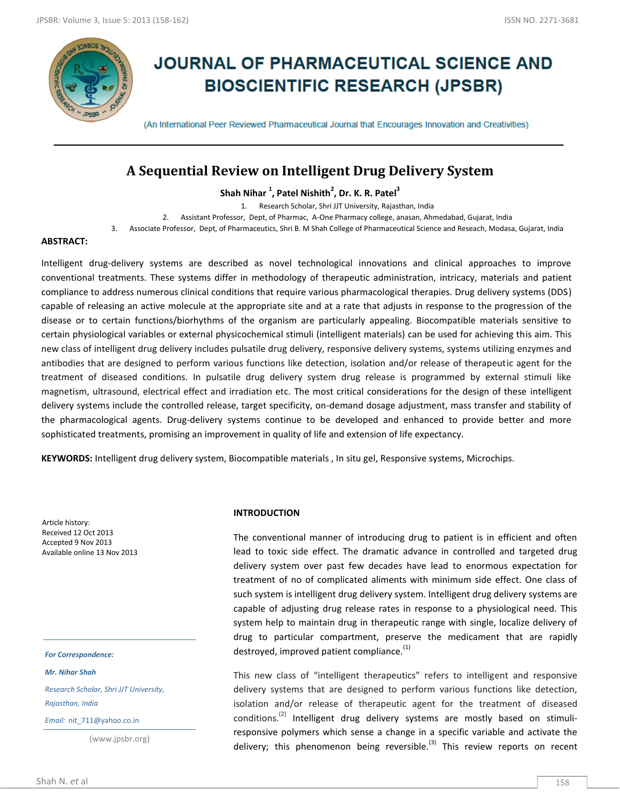

# **JOURNAL OF PHARMACEUTICAL SCIENCE AND BIOSCIENTIFIC RESEARCH (JPSBR)**

(An International Peer Reviewed Pharmaceutical Journal that Encourages Innovation and Creativities)

# **A Sequential Review on Intelligent Drug Delivery System**

**Shah Nihar <sup>1</sup> , Patel Nishith<sup>2</sup> , Dr. K. R. Patel<sup>3</sup>**

1. Research Scholar, Shri JJT University, Rajasthan, India

2. Assistant Professor, Dept, of Pharmac, A-One Pharmacy college, anasan, Ahmedabad, Gujarat, India

3. Associate Professor, Dept, of Pharmaceutics, Shri B. M Shah College of Pharmaceutical Science and Reseach, Modasa, Gujarat, India

#### **ABSTRACT:**

Intelligent drug-delivery systems are described as novel technological innovations and clinical approaches to improve conventional treatments. These systems differ in methodology of therapeutic administration, intricacy, materials and patient compliance to address numerous clinical conditions that require various pharmacological therapies. Drug delivery systems (DDS) capable of releasing an active molecule at the appropriate site and at a rate that adjusts in response to the progression of the disease or to certain functions/biorhythms of the organism are particularly appealing. Biocompatible materials sensitive to certain physiological variables or external physicochemical stimuli (intelligent materials) can be used for achieving this aim. This new class of intelligent drug delivery includes pulsatile drug delivery, responsive delivery systems, systems utilizing enzymes and antibodies that are designed to perform various functions like detection, isolation and/or release of therapeutic agent for the treatment of diseased conditions. In pulsatile drug delivery system drug release is programmed by external stimuli like magnetism, ultrasound, electrical effect and irradiation etc. The most critical considerations for the design of these intelligent delivery systems include the controlled release, target specificity, on-demand dosage adjustment, mass transfer and stability of the pharmacological agents. Drug-delivery systems continue to be developed and enhanced to provide better and more sophisticated treatments, promising an improvement in quality of life and extension of life expectancy.

**KEYWORDS:** Intelligent drug delivery system, Biocompatible materials , In situ gel, Responsive systems, Microchips.

Article history: Received 12 Oct 2013 Accepted 9 Nov 2013 Available online 13 Nov 2013

*For Correspondence:*

*Mr. Nihar Shah*

*Research Scholar, Shri JJT University, Rajasthan, India*

*Email:* nit\_711@yahoo.co.in

(www.jpsbr.org)

#### **INTRODUCTION**

The conventional manner of introducing drug to patient is in efficient and often lead to toxic side effect. The dramatic advance in controlled and targeted drug delivery system over past few decades have lead to enormous expectation for treatment of no of complicated aliments with minimum side effect. One class of such system is intelligent drug delivery system. Intelligent drug delivery systems are capable of adjusting drug release rates in response to a physiological need. This system help to maintain drug in therapeutic range with single, localize delivery of drug to particular compartment, preserve the medicament that are rapidly destroyed, improved patient compliance.<sup>(1)</sup>

This new class of "intelligent therapeutics" refers to intelligent and responsive delivery systems that are designed to perform various functions like detection, isolation and/or release of therapeutic agent for the treatment of diseased conditions.<sup>(2)</sup> Intelligent drug delivery systems are mostly based on stimuliresponsive polymers which sense a change in a specific variable and activate the delivery; this phenomenon being reversible. $^{(3)}$  This review reports on recent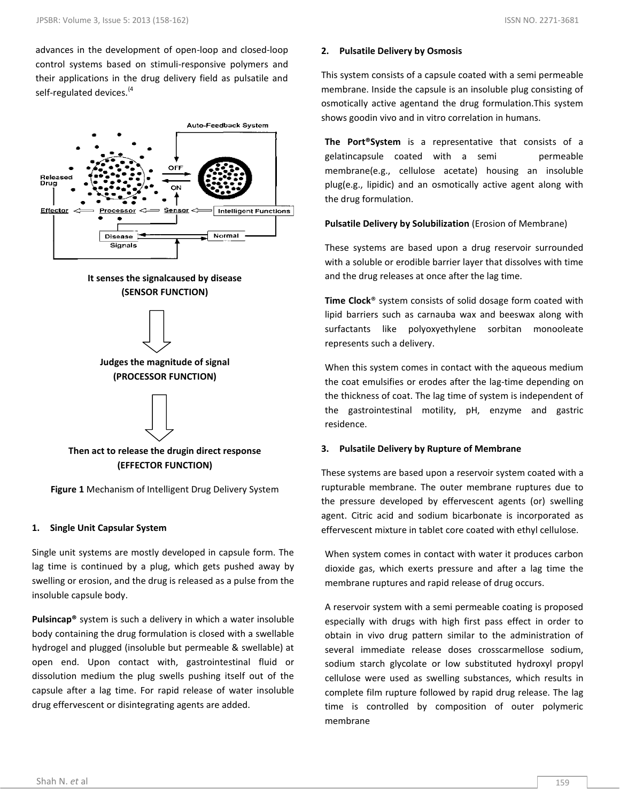advances in the development of open-loop and closed-loop control systems based on stimuli-responsive polymers and their applications in the drug delivery field as pulsatile and self-regulated devices.<sup>(4</sup>



# **It senses the signalcaused by disease (SENSOR FUNCTION)**



# **Then act to release the drugin direct response (EFFECTOR FUNCTION)**

**Figure 1** Mechanism of Intelligent Drug Delivery System

# **1. Single Unit Capsular System**

Single unit systems are mostly developed in capsule form. The lag time is continued by a plug, which gets pushed away by swelling or erosion, and the drug is released as a pulse from the insoluble capsule body.

**Pulsincap®** system is such a delivery in which a water insoluble body containing the drug formulation is closed with a swellable hydrogel and plugged (insoluble but permeable & swellable) at open end. Upon contact with, gastrointestinal fluid or dissolution medium the plug swells pushing itself out of the capsule after a lag time. For rapid release of water insoluble drug effervescent or disintegrating agents are added.

# **2. Pulsatile Delivery by Osmosis**

This system consists of a capsule coated with a semi permeable membrane. Inside the capsule is an insoluble plug consisting of osmotically active agentand the drug formulation.This system shows goodin vivo and in vitro correlation in humans.

**The Port®System** is a representative that consists of a gelatincapsule coated with a semi permeable membrane(e.g., cellulose acetate) housing an insoluble plug(e.g., lipidic) and an osmotically active agent along with the drug formulation.

**Pulsatile Delivery by Solubilization** (Erosion of Membrane)

These systems are based upon a drug reservoir surrounded with a soluble or erodible barrier layer that dissolves with time and the drug releases at once after the lag time.

**Time Clock**® system consists of solid dosage form coated with lipid barriers such as carnauba wax and beeswax along with surfactants like polyoxyethylene sorbitan monooleate represents such a delivery.

When this system comes in contact with the aqueous medium the coat emulsifies or erodes after the lag-time depending on the thickness of coat. The lag time of system is independent of the gastrointestinal motility, pH, enzyme and gastric residence.

# **3. Pulsatile Delivery by Rupture of Membrane**

These systems are based upon a reservoir system coated with a rupturable membrane. The outer membrane ruptures due to the pressure developed by effervescent agents (or) swelling agent. Citric acid and sodium bicarbonate is incorporated as effervescent mixture in tablet core coated with ethyl cellulose.

When system comes in contact with water it produces carbon dioxide gas, which exerts pressure and after a lag time the membrane ruptures and rapid release of drug occurs.

A reservoir system with a semi permeable coating is proposed especially with drugs with high first pass effect in order to obtain in vivo drug pattern similar to the administration of several immediate release doses crosscarmellose sodium, sodium starch glycolate or low substituted hydroxyl propyl cellulose were used as swelling substances, which results in complete film rupture followed by rapid drug release. The lag time is controlled by composition of outer polymeric membrane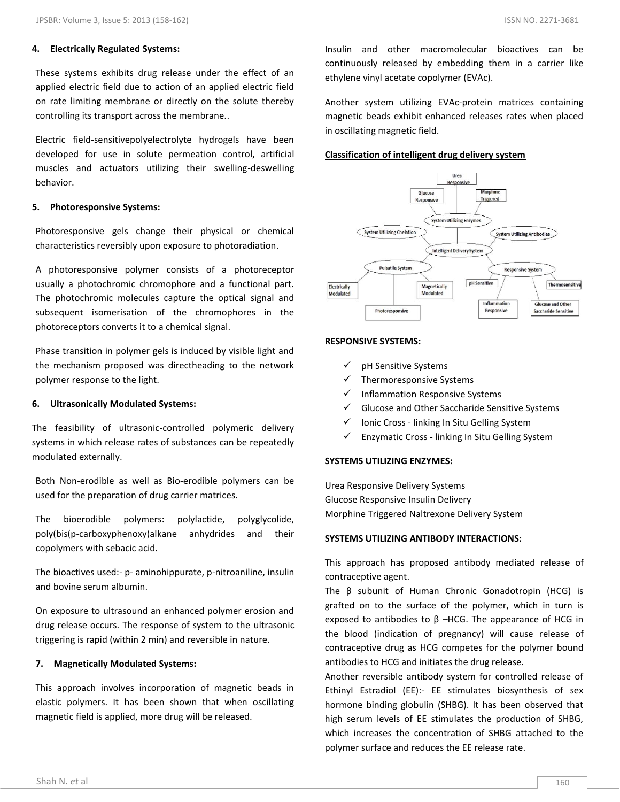#### **4. Electrically Regulated Systems:**

These systems exhibits drug release under the effect of an applied electric field due to action of an applied electric field on rate limiting membrane or directly on the solute thereby controlling its transport across the membrane..

Electric field-sensitivepolyelectrolyte hydrogels have been developed for use in solute permeation control, artificial muscles and actuators utilizing their swelling-deswelling behavior.

#### **5. Photoresponsive Systems:**

Photoresponsive gels change their physical or chemical characteristics reversibly upon exposure to photoradiation.

A photoresponsive polymer consists of a photoreceptor usually a photochromic chromophore and a functional part. The photochromic molecules capture the optical signal and subsequent isomerisation of the chromophores in the photoreceptors converts it to a chemical signal.

Phase transition in polymer gels is induced by visible light and the mechanism proposed was directheading to the network polymer response to the light.

#### **6. Ultrasonically Modulated Systems:**

The feasibility of ultrasonic-controlled polymeric delivery systems in which release rates of substances can be repeatedly modulated externally.

Both Non-erodible as well as Bio-erodible polymers can be used for the preparation of drug carrier matrices.

The bioerodible polymers: polylactide, polyglycolide, poly(bis(p-carboxyphenoxy)alkane anhydrides and their copolymers with sebacic acid.

The bioactives used:- p- aminohippurate, p-nitroaniline, insulin and bovine serum albumin.

On exposure to ultrasound an enhanced polymer erosion and drug release occurs. The response of system to the ultrasonic triggering is rapid (within 2 min) and reversible in nature.

#### **7. Magnetically Modulated Systems:**

This approach involves incorporation of magnetic beads in elastic polymers. It has been shown that when oscillating magnetic field is applied, more drug will be released.

Insulin and other macromolecular bioactives can be continuously released by embedding them in a carrier like ethylene vinyl acetate copolymer (EVAc).

Another system utilizing EVAc-protein matrices containing magnetic beads exhibit enhanced releases rates when placed in oscillating magnetic field.

# **Classification of intelligent drug delivery system**



#### **RESPONSIVE SYSTEMS:**

- $\checkmark$  pH Sensitive Systems
- $\checkmark$  Thermoresponsive Systems
- Inflammation Responsive Systems
- $\checkmark$  Glucose and Other Saccharide Sensitive Systems
- $\checkmark$  Ionic Cross linking In Situ Gelling System
- $\checkmark$  Enzymatic Cross linking In Situ Gelling System

## **SYSTEMS UTILIZING ENZYMES:**

Urea Responsive Delivery Systems Glucose Responsive Insulin Delivery Morphine Triggered Naltrexone Delivery System

## **SYSTEMS UTILIZING ANTIBODY INTERACTIONS:**

This approach has proposed antibody mediated release of contraceptive agent.

The β subunit of Human Chronic Gonadotropin (HCG) is grafted on to the surface of the polymer, which in turn is exposed to antibodies to  $β$  –HCG. The appearance of HCG in the blood (indication of pregnancy) will cause release of contraceptive drug as HCG competes for the polymer bound antibodies to HCG and initiates the drug release.

Another reversible antibody system for controlled release of Ethinyl Estradiol (EE):- EE stimulates biosynthesis of sex hormone binding globulin (SHBG). It has been observed that high serum levels of EE stimulates the production of SHBG, which increases the concentration of SHBG attached to the polymer surface and reduces the EE release rate.

automatic increase in EE release rate.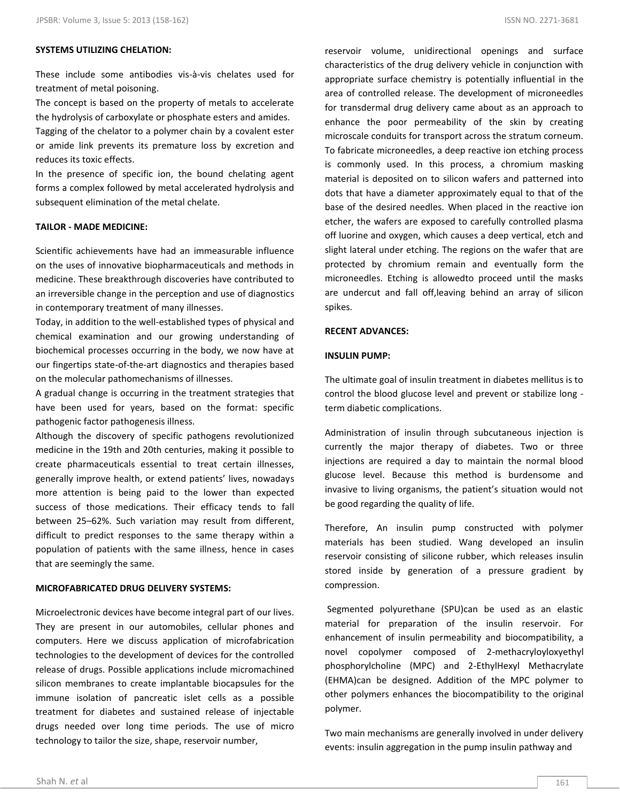# **SYSTEMS UTILIZING CHELATION:**

These include some antibodies vis-à-vis chelates used for treatment of metal poisoning.

The concept is based on the property of metals to accelerate the hydrolysis of carboxylate or phosphate esters and amides. Tagging of the chelator to a polymer chain by a covalent ester or amide link prevents its premature loss by excretion and reduces its toxic effects.

In the presence of specific ion, the bound chelating agent forms a complex followed by metal accelerated hydrolysis and subsequent elimination of the metal chelate.

# **TAILOR - MADE MEDICINE:**

Scientific achievements have had an immeasurable influence on the uses of innovative biopharmaceuticals and methods in medicine. These breakthrough discoveries have contributed to an irreversible change in the perception and use of diagnostics in contemporary treatment of many illnesses.

Today, in addition to the well-established types of physical and chemical examination and our growing understanding of biochemical processes occurring in the body, we now have at our fingertips state-of-the-art diagnostics and therapies based on the molecular pathomechanisms of illnesses.

A gradual change is occurring in the treatment strategies that have been used for years, based on the format: specific pathogenic factor pathogenesis illness.

Although the discovery of specific pathogens revolutionized medicine in the 19th and 20th centuries, making it possible to create pharmaceuticals essential to treat certain illnesses, generally improve health, or extend patients' lives, nowadays more attention is being paid to the lower than expected success of those medications. Their efficacy tends to fall between 25–62%. Such variation may result from different, difficult to predict responses to the same therapy within a population of patients with the same illness, hence in cases that are seemingly the same.

# **MICROFABRICATED DRUG DELIVERY SYSTEMS:**

Microelectronic devices have become integral part of our lives. They are present in our automobiles, cellular phones and computers. Here we discuss application of microfabrication technologies to the development of devices for the controlled release of drugs. Possible applications include micromachined silicon membranes to create implantable biocapsules for the immune isolation of pancreatic islet cells as a possible treatment for diabetes and sustained release of injectable drugs needed over long time periods. The use of micro technology to tailor the size, shape, reservoir number,

reservoir volume, unidirectional openings and surface characteristics of the drug delivery vehicle in conjunction with appropriate surface chemistry is potentially influential in the area of controlled release. The development of microneedles for transdermal drug delivery came about as an approach to enhance the poor permeability of the skin by creating microscale conduits for transport across the stratum corneum. To fabricate microneedles, a deep reactive ion etching process is commonly used. In this process, a chromium masking material is deposited on to silicon wafers and patterned into dots that have a diameter approximately equal to that of the base of the desired needles. When placed in the reactive ion etcher, the wafers are exposed to carefully controlled plasma off luorine and oxygen, which causes a deep vertical, etch and slight lateral under etching. The regions on the wafer that are protected by chromium remain and eventually form the microneedles. Etching is allowedto proceed until the masks are undercut and fall off,leaving behind an array of silicon spikes.

#### **RECENT ADVANCES:**

#### **INSULIN PUMP:**

The ultimate goal of insulin treatment in diabetes mellitus is to control the blood glucose level and prevent or stabilize long term diabetic complications.

Administration of insulin through subcutaneous injection is currently the major therapy of diabetes. Two or three injections are required a day to maintain the normal blood glucose level. Because this method is burdensome and invasive to living organisms, the patient's situation would not be good regarding the quality of life.

Therefore, An insulin pump constructed with polymer materials has been studied. Wang developed an insulin reservoir consisting of silicone rubber, which releases insulin stored inside by generation of a pressure gradient by compression.

Segmented polyurethane (SPU)can be used as an elastic material for preparation of the insulin reservoir. For enhancement of insulin permeability and biocompatibility, a novel copolymer composed of 2-methacryloyloxyethyl phosphorylcholine (MPC) and 2-EthylHexyl Methacrylate (EHMA)can be designed. Addition of the MPC polymer to other polymers enhances the biocompatibility to the original polymer.

Two main mechanisms are generally involved in under delivery events: insulin aggregation in the pump insulin pathway and